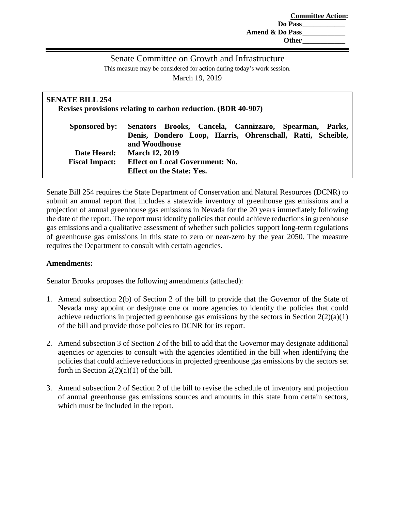## Senate Committee on Growth and Infrastructure This measure may be considered for action during today's work session.

March 19, 2019

| <b>SENATE BILL 254</b><br>Revises provisions relating to carbon reduction. (BDR 40-907) |                                                                                                                                          |
|-----------------------------------------------------------------------------------------|------------------------------------------------------------------------------------------------------------------------------------------|
| <b>Sponsored by:</b>                                                                    | Senators Brooks, Cancela, Cannizzaro, Spearman,<br>Parks.<br>Denis, Dondero Loop, Harris, Ohrenschall, Ratti, Scheible,<br>and Woodhouse |
| Date Heard:                                                                             | <b>March 12, 2019</b>                                                                                                                    |
| <b>Fiscal Impact:</b>                                                                   | <b>Effect on Local Government: No.</b>                                                                                                   |
|                                                                                         | <b>Effect on the State: Yes.</b>                                                                                                         |

Senate Bill 254 requires the State Department of Conservation and Natural Resources (DCNR) to submit an annual report that includes a statewide inventory of greenhouse gas emissions and a projection of annual greenhouse gas emissions in Nevada for the 20 years immediately following the date of the report. The report must identify policies that could achieve reductions in greenhouse gas emissions and a qualitative assessment of whether such policies support long-term regulations of greenhouse gas emissions in this state to zero or near-zero by the year 2050. The measure requires the Department to consult with certain agencies.

## **Amendments:**

Senator Brooks proposes the following amendments (attached):

- 1. Amend subsection 2(b) of Section 2 of the bill to provide that the Governor of the State of Nevada may appoint or designate one or more agencies to identify the policies that could achieve reductions in projected greenhouse gas emissions by the sectors in Section  $2(2)(a)(1)$ of the bill and provide those policies to DCNR for its report.
- 2. Amend subsection 3 of Section 2 of the bill to add that the Governor may designate additional agencies or agencies to consult with the agencies identified in the bill when identifying the policies that could achieve reductions in projected greenhouse gas emissions by the sectors set forth in Section  $2(2)(a)(1)$  of the bill.
- 3. Amend subsection 2 of Section 2 of the bill to revise the schedule of inventory and projection of annual greenhouse gas emissions sources and amounts in this state from certain sectors, which must be included in the report.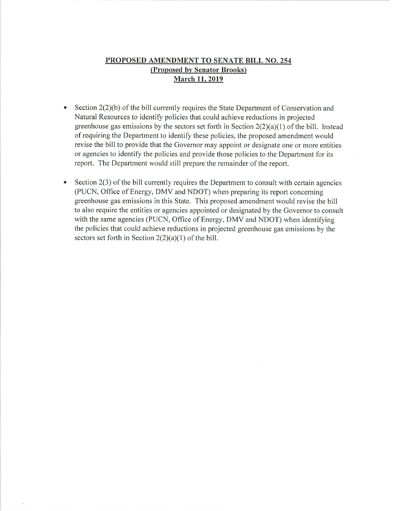## **PROPOSED AMENDMENT TO SENATE BILL NO. 254 (Proposed by Senator Brooks) March 11, 2019**

- Section 2(2)(b) of the bill currently requires the State Department of Conservation and Natural Resources to identify policies that could achieve reductions in projected greenhouse gas emissions by the sectors set forth in Section  $2(2)(a)(1)$  of the bill. Instead of requiring the Department to identify these policies, the proposed amendment would revise the bill to provide that the Governor may appoint or designate one or more entities or agencies to identify the policies and provide those policies to the Department for its report. The Department would still prepare the remainder of the report.
- Section 2(3) of the bill currently requires the Department to consult with certain agencies (PUCN, Office of Energy, DMV and NDOT) when preparing its report concerning greenhouse gas emissions in this State. This proposed amendment would revise the bill to also require the entities or agencies appointed or designated by the Governor to consult with the same agencies (PUCN, Office of Energy, DMV and NDOT) when identifying the policies that could achieve reductions in projected greenhouse gas emissions by the sectors set forth in Section  $2(2)(a)(1)$  of the bill.